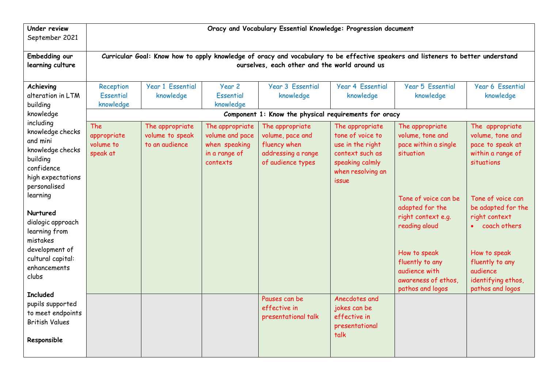| <b>Under review</b><br>September 2021                                                                                                  | Oracy and Vocabulary Essential Knowledge: Progression document                                                                                                                    |                                                      |                                                                                  |                                                                                                |                                                                                                                             |                                                                                                                                                                               |                                                                                                                                                                   |
|----------------------------------------------------------------------------------------------------------------------------------------|-----------------------------------------------------------------------------------------------------------------------------------------------------------------------------------|------------------------------------------------------|----------------------------------------------------------------------------------|------------------------------------------------------------------------------------------------|-----------------------------------------------------------------------------------------------------------------------------|-------------------------------------------------------------------------------------------------------------------------------------------------------------------------------|-------------------------------------------------------------------------------------------------------------------------------------------------------------------|
| Embedding our<br>learning culture                                                                                                      | Curricular Goal: Know how to apply knowledge of oracy and vocabulary to be effective speakers and listeners to better understand<br>ourselves, each other and the world around us |                                                      |                                                                                  |                                                                                                |                                                                                                                             |                                                                                                                                                                               |                                                                                                                                                                   |
| Achieving<br>alteration in LTM<br>building                                                                                             | Reception<br>Essential<br>knowledge                                                                                                                                               | <b>Year 1 Essential</b><br>knowledge                 | Year 2<br>Essential<br>knowledge                                                 | <b>Year 3 Essential</b><br>knowledge                                                           | <b>Year 4 Essential</b><br>knowledge                                                                                        | Year 5 Essential<br>knowledge                                                                                                                                                 | Year 6 Essential<br>knowledge                                                                                                                                     |
| knowledge                                                                                                                              |                                                                                                                                                                                   |                                                      |                                                                                  | Component 1: Know the physical requirements for oracy                                          |                                                                                                                             |                                                                                                                                                                               |                                                                                                                                                                   |
| including<br>knowledge checks<br>and mini<br>knowledge checks<br>building<br>confidence<br>high expectations<br>personalised           | <b>The</b><br>appropriate<br>volume to<br>speak at                                                                                                                                | The appropriate<br>volume to speak<br>to an audience | The appropriate<br>volume and pace<br>when speaking<br>in a range of<br>contexts | The appropriate<br>volume, pace and<br>fluency when<br>addressing a range<br>of audience types | The appropriate<br>tone of voice to<br>use in the right<br>context such as<br>speaking calmly<br>when resolving an<br>issue | The appropriate<br>volume, tone and<br>pace within a single<br>situation                                                                                                      | The appropriate<br>volume, tone and<br>pace to speak at<br>within a range of<br>situations                                                                        |
| learning<br>Nurtured<br>dialogic approach<br>learning from<br>mistakes<br>development of<br>cultural capital:<br>enhancements<br>clubs |                                                                                                                                                                                   |                                                      |                                                                                  |                                                                                                |                                                                                                                             | Tone of voice can be<br>adapted for the<br>right context e.g.<br>reading aloud<br>How to speak<br>fluently to any<br>audience with<br>awareness of ethos,<br>pathos and logos | Tone of voice can<br>be adapted for the<br>right context<br>coach others<br>How to speak<br>fluently to any<br>audience<br>identifying ethos,<br>pathos and logos |
| <b>Included</b><br>pupils supported<br>to meet endpoints<br><b>British Values</b><br>Responsible                                       |                                                                                                                                                                                   |                                                      |                                                                                  | Pauses can be<br>effective in<br>presentational talk                                           | Anecdotes and<br>jokes can be<br>effective in<br>presentational<br>talk                                                     |                                                                                                                                                                               |                                                                                                                                                                   |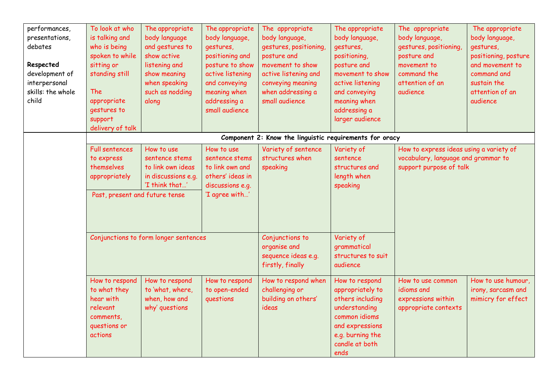| performances,<br>presentations,<br>debates<br>Respected<br>development of<br>interpersonal<br>skills: the whole<br>child | To look at who<br>is talking and<br>who is being<br>spoken to while<br>sitting or<br>standing still<br>The<br>appropriate<br>gestures to<br>support<br>delivery of talk | The appropriate<br>body language<br>and gestures to<br>show active<br>listening and<br>show meaning<br>when speaking<br>such as nodding<br>along | The appropriate<br>body language,<br>gestures,<br>positioning and<br>posture to show<br>active listening<br>and conveying<br>meaning when<br>addressing a<br>small audience | The appropriate<br>body language,<br>gestures, positioning<br>posture and<br>movement to show<br>active listening and<br>conveying meaning<br>when addressing a<br>small audience | The appropriate<br>body language,<br>gestures,<br>positioning,<br>posture and<br>movement to show<br>active listening<br>and conveying<br>meaning when<br>addressing a<br>larger audience | The appropriate<br>body language,<br>gestures, positioning<br>posture and<br>movement to<br>command the<br>attention of an<br>audience | The appropriate<br>body language,<br>gestures,<br>positioning, posture<br>and movement to<br>command and<br>sustain the<br>attention of an<br>audience |
|--------------------------------------------------------------------------------------------------------------------------|-------------------------------------------------------------------------------------------------------------------------------------------------------------------------|--------------------------------------------------------------------------------------------------------------------------------------------------|-----------------------------------------------------------------------------------------------------------------------------------------------------------------------------|-----------------------------------------------------------------------------------------------------------------------------------------------------------------------------------|-------------------------------------------------------------------------------------------------------------------------------------------------------------------------------------------|----------------------------------------------------------------------------------------------------------------------------------------|--------------------------------------------------------------------------------------------------------------------------------------------------------|
|                                                                                                                          |                                                                                                                                                                         |                                                                                                                                                  |                                                                                                                                                                             | Component 2: Know the linguistic requirements for oracy                                                                                                                           |                                                                                                                                                                                           |                                                                                                                                        |                                                                                                                                                        |
|                                                                                                                          | <b>Full sentences</b><br>to express<br>themselves<br>appropriately<br>Past, present and future tense                                                                    | How to use<br>sentence stems<br>to link own ideas<br>in discussions e.g.<br>'I think that'                                                       | How to use<br>sentence stems<br>to link own and<br>others' ideas in<br>discussions e.g.<br>'I agree with'                                                                   | Variety of sentence<br>structures when<br>speaking                                                                                                                                | Variety of<br>sentence<br>structures and<br>length when<br>speaking                                                                                                                       | How to express ideas using a variety of<br>vocabulary, language and grammar to<br>support purpose of talk                              |                                                                                                                                                        |
|                                                                                                                          | Conjunctions to form longer sentences                                                                                                                                   |                                                                                                                                                  |                                                                                                                                                                             | Conjunctions to<br>organise and<br>sequence ideas e.g.<br>firstly, finally                                                                                                        | Variety of<br>grammatical<br>structures to suit<br>audience                                                                                                                               |                                                                                                                                        |                                                                                                                                                        |
|                                                                                                                          | How to respond<br>to what they<br>hear with<br>relevant<br>comments,<br>questions or<br>actions                                                                         | How to respond<br>to 'what, where,<br>when, how and<br>why' questions                                                                            | How to respond<br>to open-ended<br>questions                                                                                                                                | How to respond when<br>challenging or<br>building on others'<br>ideas                                                                                                             | How to respond<br>appropriately to<br>others including<br>understanding<br>common idioms<br>and expressions<br>e.g. burning the<br>candle at both<br>ends                                 | How to use common<br>idioms and<br>expressions within<br>appropriate contexts                                                          | How to use humour,<br>irony, sarcasm and<br>mimicry for effect                                                                                         |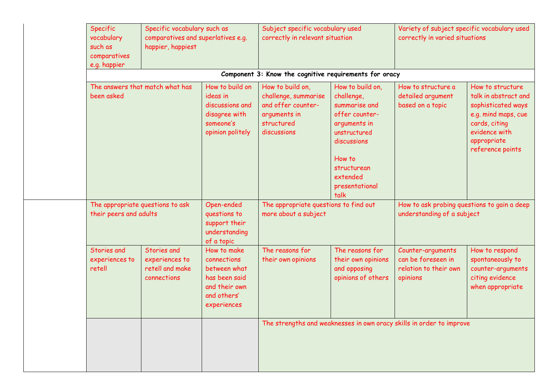| Specific<br>vocabulary<br>such as<br>comparatives<br>e.g. happier                                           | Specific vocabulary such as<br>comparatives and superlatives e.g.<br>happier, happiest |                                                                                                            | Subject specific vocabulary used<br>correctly in relevant situation                                         |                                                                                                                                                                                 | Variety of subject specific vocabulary used<br>correctly in varied situations                                                                                                                                             |                                                                                                |  |
|-------------------------------------------------------------------------------------------------------------|----------------------------------------------------------------------------------------|------------------------------------------------------------------------------------------------------------|-------------------------------------------------------------------------------------------------------------|---------------------------------------------------------------------------------------------------------------------------------------------------------------------------------|---------------------------------------------------------------------------------------------------------------------------------------------------------------------------------------------------------------------------|------------------------------------------------------------------------------------------------|--|
|                                                                                                             |                                                                                        |                                                                                                            | Component 3: Know the cognitive requirements for oracy                                                      |                                                                                                                                                                                 |                                                                                                                                                                                                                           |                                                                                                |  |
| The answers that match what has<br>been asked<br>The appropriate questions to ask<br>their peers and adults |                                                                                        | How to build on<br>ideas in<br>discussions and<br>disagree with<br>someone's<br>opinion politely           | How to build on,<br>challenge, summarise<br>and offer counter-<br>arguments in<br>structured<br>discussions | How to build on,<br>challenge,<br>summarise and<br>offer counter-<br>arguments in<br>unstructured<br>discussions<br>How to<br>structurean<br>extended<br>presentational<br>talk | How to structure a<br>How to structure<br>detailed argument<br>talk in abstract and<br>based on a topic<br>sophisticated ways<br>e.g. mind maps, cue<br>cards, citing<br>evidence with<br>appropriate<br>reference points |                                                                                                |  |
|                                                                                                             |                                                                                        | Open-ended<br>questions to<br>support their<br>understanding<br>of a topic                                 | The appropriate questions to find out<br>more about a subject                                               |                                                                                                                                                                                 | How to ask probing questions to gain a deep<br>understanding of a subject                                                                                                                                                 |                                                                                                |  |
| Stories and<br>experiences to<br>retell                                                                     | Stories and<br>experiences to<br>retell and make<br>connections                        | How to make<br>connections<br>between what<br>has been said<br>and their own<br>and others'<br>experiences | The reasons for<br>their own opinions                                                                       | The reasons for<br>their own opinions<br>and opposing<br>opinions of others                                                                                                     | Counter-arguments<br>can be foreseen in<br>relation to their own<br>opinions                                                                                                                                              | How to respond<br>spontaneously to<br>counter-arguments<br>citing evidence<br>when appropriate |  |
|                                                                                                             |                                                                                        |                                                                                                            |                                                                                                             |                                                                                                                                                                                 | The strengths and weaknesses in own oracy skills in order to improve                                                                                                                                                      |                                                                                                |  |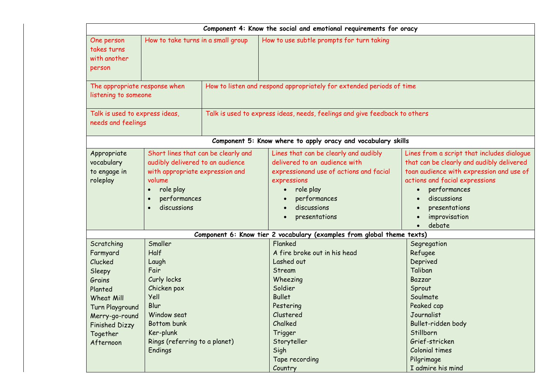| Component 4: Know the social and emotional requirements for oracy                                                                                                            |                                                                                                                                                                                                         |                                                                      |                                                                                                                                                                                                             |                                                                                                                                                                                                                                                  |  |  |  |
|------------------------------------------------------------------------------------------------------------------------------------------------------------------------------|---------------------------------------------------------------------------------------------------------------------------------------------------------------------------------------------------------|----------------------------------------------------------------------|-------------------------------------------------------------------------------------------------------------------------------------------------------------------------------------------------------------|--------------------------------------------------------------------------------------------------------------------------------------------------------------------------------------------------------------------------------------------------|--|--|--|
| How to take turns in a small group<br>One person<br>takes turns<br>with another<br>person                                                                                    |                                                                                                                                                                                                         | How to use subtle prompts for turn taking                            |                                                                                                                                                                                                             |                                                                                                                                                                                                                                                  |  |  |  |
| The appropriate response when<br>listening to someone                                                                                                                        |                                                                                                                                                                                                         | How to listen and respond appropriately for extended periods of time |                                                                                                                                                                                                             |                                                                                                                                                                                                                                                  |  |  |  |
| Talk is used to express ideas,<br>needs and feelings                                                                                                                         |                                                                                                                                                                                                         |                                                                      | Talk is used to express ideas, needs, feelings and give feedback to others                                                                                                                                  |                                                                                                                                                                                                                                                  |  |  |  |
|                                                                                                                                                                              |                                                                                                                                                                                                         |                                                                      | Component 5: Know where to apply oracy and vocabulary skills                                                                                                                                                |                                                                                                                                                                                                                                                  |  |  |  |
| Appropriate<br>vocabulary<br>to engage in<br>roleplay                                                                                                                        | Short lines that can be clearly and<br>audibly delivered to an audience<br>with appropriate expression and<br>volume<br>role play<br>$\bullet$<br>performances<br>$\bullet$<br>discussions<br>$\bullet$ |                                                                      | Lines that can be clearly and audibly<br>delivered to an audience with<br>expressionand use of actions and facial<br>expressions<br>role play<br>performances<br>discussions<br>presentations               | Lines from a script that includes dialogue<br>that can be clearly and audibly delivered<br>toan audience with expression and use of<br>actions and facial expressions<br>performances<br>discussions<br>presentations<br>improvisation<br>debate |  |  |  |
|                                                                                                                                                                              |                                                                                                                                                                                                         |                                                                      | Component 6: Know tier 2 vocabulary (examples from global theme texts)                                                                                                                                      |                                                                                                                                                                                                                                                  |  |  |  |
| Scratching<br>Farmyard<br>Clucked<br>Sleepy<br>Grains<br>Planted<br><b>Wheat Mill</b><br>Turn Playground<br>Merry-go-round<br><b>Finished Dizzy</b><br>Together<br>Afternoon | Smaller<br><b>Half</b><br>Laugh<br>Fair<br>Curly locks<br>Chicken pox<br>Yell<br>Blur<br>Window seat<br>Bottom bunk<br>Ker-plunk<br>Rings (referring to a planet)<br>Endings                            |                                                                      | Flanked<br>A fire broke out in his head<br>Lashed out<br>Stream<br>Wheezing<br>Soldier<br><b>Bullet</b><br>Pestering<br>Clustered<br>Chalked<br>Trigger<br>Storyteller<br>Sigh<br>Tape recording<br>Country | Segregation<br>Refugee<br>Deprived<br>Taliban<br>Bazzar<br>Sprout<br>Soulmate<br>Peaked cap<br>Journalist<br>Bullet-ridden body<br>Stillborn<br>Grief-stricken<br>Colonial times<br>Pilgrimage<br>I admire his mind                              |  |  |  |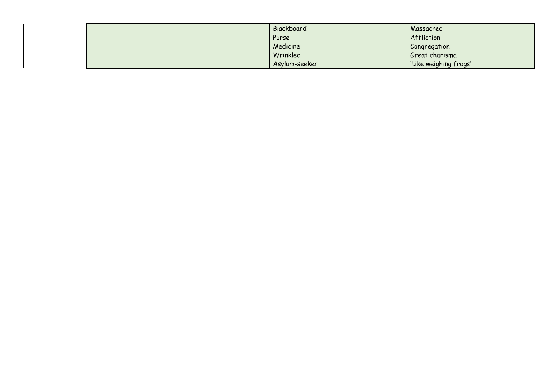|  | Blackboard    | Massacred             |
|--|---------------|-----------------------|
|  | Purse         | Affliction            |
|  | Medicine      | Congregation          |
|  | Wrinkled      | Great charisma        |
|  | Asylum-seeker | 'Like weighing frogs' |